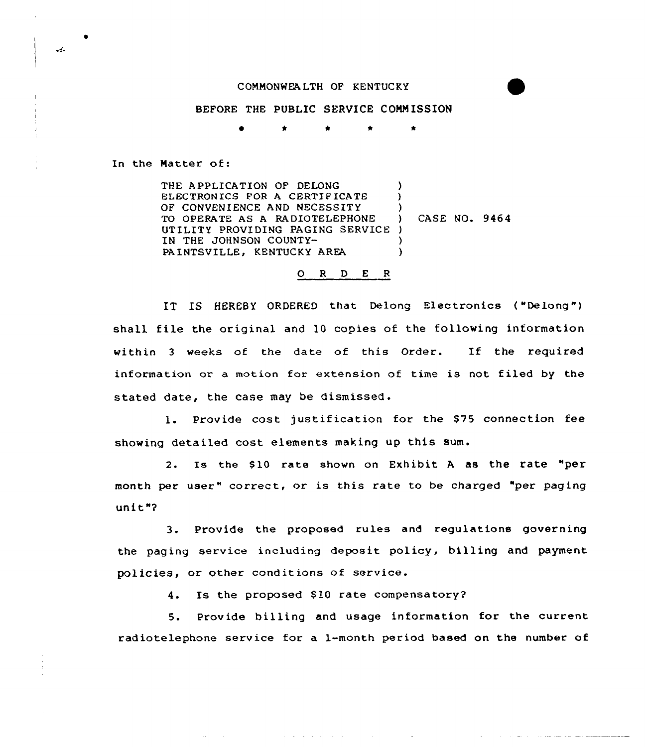## CONNQNWEALTH OF KENTUCKY

## BEFORE THE PUBLIC SERVICE CONMISSION

\* \* \* \*

In the Natter of:

THE APPLICATION OF DELONG ELECTRONICS FOR A CERTIFICATE OF CONVENIENCE AND NECESSITY TO OPERATE AS A RADIOTELEPHONE UTILITY PROVIDING PAGING SERVICE ) IN THE JOHNSON COUNTY-PA INTSVILLE, KENTUCKY AREA )  $\lambda$ ) ) CASE NO. 9464 ) )

## O R D E R

IT IS HEREBY ORDERED that Delong Electronics ("Delong") shall file the original and 10 copies of the following information within <sup>3</sup> weeks of the date of this Order. If the required information or a motion for extension of time is not filed by the stated date, the case may be dismissed.

1. Provide cost justification for the \$75 connection fee showing detailed cost elements making up this sum.

2. Is the \$10 rate shown on Exhibit A as the rate "per month per user" correct, or is this rate to be charged "per paging unit"?

3. Provide the proposed rules and regulations governing the paging service including deposit policy, billing and payment policies, or other conditions of service.

4. Is the proposed \$10 rate compensatory?

5. Provide billing and usage information for the current radiotelephone service for a 1-month period based on the number of

 $\mathcal{L}$